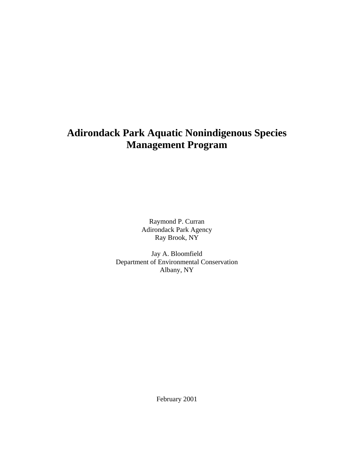# **Adirondack Park Aquatic Nonindigenous Species Management Program**

Raymond P. Curran Adirondack Park Agency Ray Brook, NY

Jay A. Bloomfield Department of Environmental Conservation Albany, NY

February 2001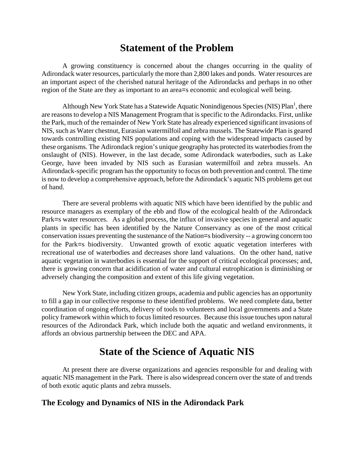## **Statement of the Problem**

A growing constituency is concerned about the changes occurring in the quality of Adirondack water resources, particularly the more than 2,800 lakes and ponds. Water resources are an important aspect of the cherished natural heritage of the Adirondacks and perhaps in no other region of the State are they as important to an area=s economic and ecological well being.

Although New York State has a Statewide Aquatic Nonindigenous Species (NIS)  $Plan<sup>1</sup>$ , there are reasons to develop a NIS Management Program that is specific to the Adirondacks. First, unlike the Park, much of the remainder of New York State has already experienced significant invasions of NIS, such as Water chestnut, Eurasian watermilfoil and zebra mussels. The Statewide Plan is geared towards controlling existing NIS populations and coping with the widespread impacts caused by these organisms. The Adirondack region's unique geography has protected its waterbodies from the onslaught of (NIS). However, in the last decade, some Adirondack waterbodies, such as Lake George, have been invaded by NIS such as Eurasian watermilfoil and zebra mussels. An Adirondack-specific program has the opportunity to focus on both prevention and control. The time is now to develop a comprehensive approach, before the Adirondack's aquatic NIS problems get out of hand.

There are several problems with aquatic NIS which have been identified by the public and resource managers as exemplary of the ebb and flow of the ecological health of the Adirondack Park=s water resources. As a global process, the influx of invasive species in general and aquatic plants in specific has been identified by the Nature Conservancy as one of the most critical conservation issues preventing the sustenance of the Nation=s biodiversity -- a growing concern too for the Park=s biodiversity. Unwanted growth of exotic aquatic vegetation interferes with recreational use of waterbodies and decreases shore land valuations. On the other hand, native aquatic vegetation in waterbodies is essential for the support of critical ecological processes; and, there is growing concern that acidification of water and cultural eutrophication is diminishing or adversely changing the composition and extent of this life giving vegetation.

New York State, including citizen groups, academia and public agencies has an opportunity to fill a gap in our collective response to these identified problems. We need complete data, better coordination of ongoing efforts, delivery of tools to volunteers and local governments and a State policy framework within which to focus limited resources. Because this issue touches upon natural resources of the Adirondack Park, which include both the aquatic and wetland environments, it affords an obvious partnership between the DEC and APA.

## **State of the Science of Aquatic NIS**

At present there are diverse organizations and agencies responsible for and dealing with aquatic NIS management in the Park. There is also widespread concern over the state of and trends of both exotic aqutic plants and zebra mussels.

### **The Ecology and Dynamics of NIS in the Adirondack Park**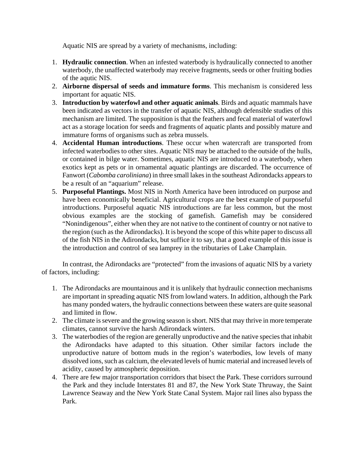Aquatic NIS are spread by a variety of mechanisms, including:

- 1. **Hydraulic connection**. When an infested waterbody is hydraulically connected to another waterbody, the unaffected waterbody may receive fragments, seeds or other fruiting bodies of the aqutic NIS.
- 2. **Airborne dispersal of seeds and immature forms**. This mechanism is considered less important for aquatic NIS.
- 3. **Introduction by waterfowl and other aquatic animals**. Birds and aquatic mammals have been indicated as vectors in the transfer of aquatic NIS, although defensible studies of this mechanism are limited. The supposition is that the feathers and fecal material of waterfowl act as a storage location for seeds and fragments of aquatic plants and possibly mature and immature forms of organisms such as zebra mussels.
- 4. **Accidental Human introductions**. These occur when watercraft are transported from infected waterbodies to other sites. Aquatic NIS may be attached to the outside of the hulls, or contained in bilge water. Sometimes, aquatic NIS are introduced to a waterbody, when exotics kept as pets or in ornamental aquatic plantings are discarded. The occurrence of Fanwort (*Cabomba caroliniana*) in three small lakes in the southeast Adirondacks appears to be a result of an "aquarium" release.
- 5. **Purposeful Plantings.** Most NIS in North America have been introduced on purpose and have been economically beneficial. Agricultural crops are the best example of purposeful introductions. Purposeful aquatic NIS introductions are far less common, but the most obvious examples are the stocking of gamefish. Gamefish may be considered "Nonindigenous", either when they are not native to the continent of country or not native to the region (such as the Adirondacks). It is beyond the scope of this white paper to discuss all of the fish NIS in the Adirondacks, but suffice it to say, that a good example of this issue is the introduction and control of sea lamprey in the tributaries of Lake Champlain.

 In contrast, the Adirondacks are "protected" from the invasions of aquatic NIS by a variety of factors, including:

- 1. The Adirondacks are mountainous and it is unlikely that hydraulic connection mechanisms are important in spreading aquatic NIS from lowland waters. In addition, although the Park has many ponded waters, the hydraulic connections between these waters are quite seasonal and limited in flow.
- 2. The climate is severe and the growing season is short. NIS that may thrive in more temperate climates, cannot survive the harsh Adirondack winters.
- 3. The waterbodies of the region are generally unproductive and the native species that inhabit the Adirondacks have adapted to this situation. Other similar factors include the unproductive nature of bottom muds in the region's waterbodies, low levels of many dissolved ions, such as calcium, the elevated levels of humic material and increased levels of acidity, caused by atmospheric deposition.
- 4. There are few major transportation corridors that bisect the Park. These corridors surround the Park and they include Interstates 81 and 87, the New York State Thruway, the Saint Lawrence Seaway and the New York State Canal System. Major rail lines also bypass the Park.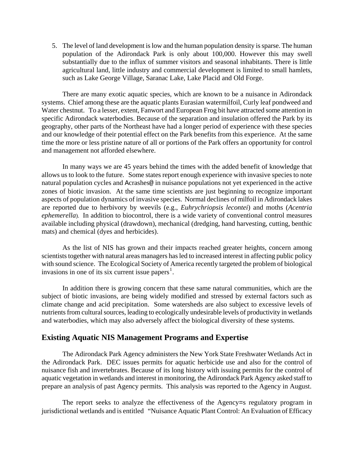5. The level of land development is low and the human population density is sparse. The human population of the Adirondack Park is only about 100,000. However this may swell substantially due to the influx of summer visitors and seasonal inhabitants. There is little agricultural land, little industry and commercial development is limited to small hamlets, such as Lake George Village, Saranac Lake, Lake Placid and Old Forge.

 There are many exotic aquatic species, which are known to be a nuisance in Adirondack systems. Chief among these are the aquatic plants Eurasian watermilfoil, Curly leaf pondweed and Water chestnut. To a lesser, extent, Fanwort and European Frog bit have attracted some attention in specific Adirondack waterbodies. Because of the separation and insulation offered the Park by its geography, other parts of the Northeast have had a longer period of experience with these species and our knowledge of their potential effect on the Park benefits from this experience. At the same time the more or less pristine nature of all or portions of the Park offers an opportunity for control and management not afforded elsewhere.

 In many ways we are 45 years behind the times with the added benefit of knowledge that allows us to look to the future. Some states report enough experience with invasive species to note natural population cycles and Acrashes@ in nuisance populations not yet experienced in the active zones of biotic invasion. At the same time scientists are just beginning to recognize important aspects of population dynamics of invasive species. Normal declines of milfoil in Adirondack lakes are reported due to herbivory by weevils (e.g., *Euhrychriopsis lecontei*) and moths (*Acentria ephemerella*). In addition to biocontrol, there is a wide variety of conventional control measures available including physical (drawdown), mechanical (dredging, hand harvesting, cutting, benthic mats) and chemical (dyes and herbicides).

 As the list of NIS has grown and their impacts reached greater heights, concern among scientists together with natural areas managers has led to increased interest in affecting public policy with sound science. The Ecological Society of America recently targeted the problem of biological invasions in one of its six current issue papers<sup>[1](#page-8-0)</sup>.

 In addition there is growing concern that these same natural communities, which are the subject of biotic invasions, are being widely modified and stressed by external factors such as climate change and acid precipitation. Some watersheds are also subject to excessive levels of nutrients from cultural sources, leading to ecologically undesirable levels of productivity in wetlands and waterbodies, which may also adversely affect the biological diversity of these systems.

### **Existing Aquatic NIS Management Programs and Expertise**

 The Adirondack Park Agency administers the New York State Freshwater Wetlands Act in the Adirondack Park. DEC issues permits for aquatic herbicide use and also for the control of nuisance fish and invertebrates. Because of its long history with issuing permits for the control of aquatic vegetation in wetlands and interest in monitoring, the Adirondack Park Agency asked staff to prepare an analysis of past Agency permits. This analysis was reported to the Agency in August.

 The report seeks to analyze the effectiveness of the Agency=s regulatory program in jurisdictional wetlands and is entitled "Nuisance Aquatic Plant Control: An Evaluation of Efficacy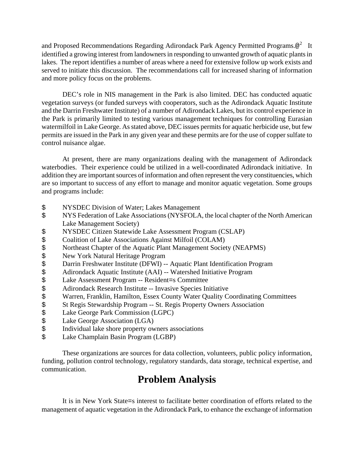and Proposed Recommendations Regarding Adirondack Park Agency Permitted Programs. $@^2$  $@^2$  It identified a growing interest from landowners in responding to unwanted growth of aquatic plants in lakes. The report identifies a number of areas where a need for extensive follow up work exists and served to initiate this discussion. The recommendations call for increased sharing of information and more policy focus on the problems.

 DEC's role in NIS management in the Park is also limited. DEC has conducted aquatic vegetation surveys (or funded surveys with cooperators, such as the Adirondack Aquatic Institute and the Darrin Freshwater Institute) of a number of Adirondack Lakes, but its control experience in the Park is primarily limited to testing various management techniques for controlling Eurasian watermilfoil in Lake George. As stated above, DEC issues permits for aquatic herbicide use, but few permits are issued in the Park in any given year and these permits are for the use of copper sulfate to control nuisance algae.

 At present, there are many organizations dealing with the management of Adirondack waterbodies. Their experience could be utilized in a well-coordinated Adirondack initiative. In addition they are important sources of information and often represent the very constituencies, which are so important to success of any effort to manage and monitor aquatic vegetation. Some groups and programs include:

- \$ NYSDEC Division of Water; Lakes Management
- \$ NYS Federation of Lake Associations (NYSFOLA, the local chapter of the North American Lake Management Society)
- \$ NYSDEC Citizen Statewide Lake Assessment Program (CSLAP)
- 
- \$ Coalition of Lake Associations Against Milfoil (COLAM)<br>\$ Northeast Chapter of the Aquatic Plant Management Societ \$ Northeast Chapter of the Aquatic Plant Management Society (NEAPMS)<br>\$ New York Natural Heritage Program
- 
- Darrin Freshwater Institute (DFWI) -- Aquatic Plant Identification Program
- Adirondack Aquatic Institute (AAI) -- Watershed Initiative Program
- \$ New York Natural Heritage Program<br>\$ Darrin Freshwater Institute (DFWI) --<br>\$ Adirondack Aquatic Institute (AAI) --<br>\$ Lake Assessment Program -- Residen
- Adirondack Research Institute -- Invasive Species Initiative
- \$ Lake Assessment Program -- Resident=s Committee<br>\$ Adirondack Research Institute -- Invasive Species In:<br>\$ Warren, Franklin, Hamilton, Essex County Water Qu<br>\$ St Regis Stewardship Program -- St. Regis Property (<br>\$ Lake Ge Warren, Franklin, Hamilton, Essex County Water Quality Coordinating Committees
- St Regis Stewardship Program -- St. Regis Property Owners Association
- Lake George Park Commission (LGPC)
- 
- \$ Lake George Association (LGA)<br>\$ Individual lake shore property own Individual lake shore property owners associations
- \$ Lake Champlain Basin Program (LGBP)

 These organizations are sources for data collection, volunteers, public policy information, funding, pollution control technology, regulatory standards, data storage, technical expertise, and communication.

## **Problem Analysis**

 It is in New York State=s interest to facilitate better coordination of efforts related to the management of aquatic vegetation in the Adirondack Park, to enhance the exchange of information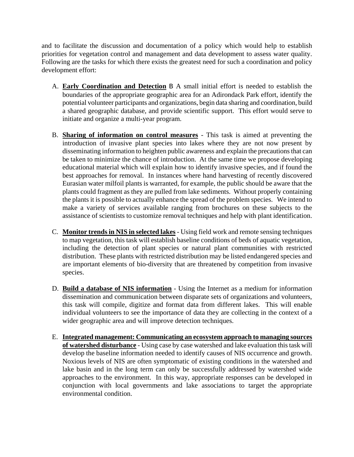and to facilitate the discussion and documentation of a policy which would help to establish priorities for vegetation control and management and data development to assess water quality. Following are the tasks for which there exists the greatest need for such a coordination and policy development effort:

- A. **Early Coordination and Detection** B A small initial effort is needed to establish the boundaries of the appropriate geographic area for an Adirondack Park effort, identify the potential volunteer participants and organizations, begin data sharing and coordination, build a shared geographic database, and provide scientific support. This effort would serve to initiate and organize a multi-year program.
- B. **Sharing of information on control measures** This task is aimed at preventing the introduction of invasive plant species into lakes where they are not now present by disseminating information to heighten public awareness and explain the precautions that can be taken to minimize the chance of introduction. At the same time we propose developing educational material which will explain how to identify invasive species, and if found the best approaches for removal. In instances where hand harvesting of recently discovered Eurasian water milfoil plants is warranted, for example, the public should be aware that the plants could fragment as they are pulled from lake sediments. Without properly containing the plants it is possible to actually enhance the spread of the problem species. We intend to make a variety of services available ranging from brochures on these subjects to the assistance of scientists to customize removal techniques and help with plant identification.
- C. **Monitor trends in NIS in selected lakes** Using field work and remote sensing techniques to map vegetation, this task will establish baseline conditions of beds of aquatic vegetation, including the detection of plant species or natural plant communities with restricted distribution. These plants with restricted distribution may be listed endangered species and are important elements of bio-diversity that are threatened by competition from invasive species.
- D. **Build a database of NIS information** Using the Internet as a medium for information dissemination and communication between disparate sets of organizations and volunteers, this task will compile, digitize and format data from different lakes. This will enable individual volunteers to see the importance of data they are collecting in the context of a wider geographic area and will improve detection techniques.
- E. **Integrated management: Communicating an ecosystem approach to managing sources of watershed disturbance** - Using case by case watershed and lake evaluation this task will develop the baseline information needed to identify causes of NIS occurrence and growth. Noxious levels of NIS are often symptomatic of existing conditions in the watershed and lake basin and in the long term can only be successfully addressed by watershed wide approaches to the environment. In this way, appropriate responses can be developed in conjunction with local governments and lake associations to target the appropriate environmental condition.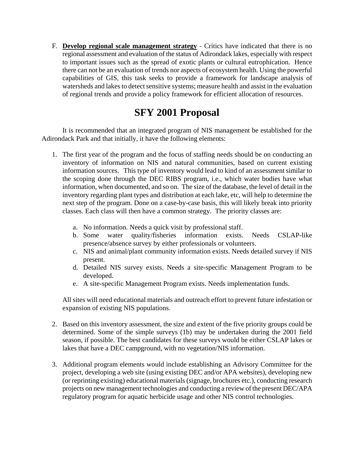F. **Develop regional scale management strategy** - Critics have indicated that there is no regional assessment and evaluation of the status of Adirondack lakes, especially with respect to important issues such as the spread of exotic plants or cultural eutrophication. Hence there can not be an evaluation of trends nor aspects of ecosystem health. Using the powerful capabilities of GIS, this task seeks to provide a framework for landscape analysis of watersheds and lakes to detect sensitive systems; measure health and assist in the evaluation of regional trends and provide a policy framework for efficient allocation of resources.

# **SFY 2001 Proposal**

 It is recommended that an integrated program of NIS management be established for the Adirondack Park and that initially, it have the following elements:

- 1. The first year of the program and the focus of staffing needs should be on conducting an inventory of information on NIS and natural communities, based on current existing information sources. This type of inventory would lead to kind of an assessment similar to the scoping done through the DEC RIBS program, i.e., which water bodies have what information, when documented, and so on. The size of the database, the level of detail in the inventory regarding plant types and distribution at each lake, etc, will help to determine the next step of the program. Done on a case-by-case basis, this will likely break into priority classes. Each class will then have a common strategy. The priority classes are:
	- a. No information. Needs a quick visit by professional staff.
	- b. Some water quality/fisheries information exists. Needs CSLAP-like presence/absence survey by either professionals or volunteers.
	- c. NIS and animal/plant community information exists. Needs detailed survey if NIS present.
	- d. Detailed NIS survey exists. Needs a site-specific Management Program to be developed.
	- e. A site-specific Management Program exists. Needs implementation funds.

All sites will need educational materials and outreach effort to prevent future infestation or expansion of existing NIS populations.

- 2. Based on this inventory assessment, the size and extent of the five priority groups could be determined. Some of the simple surveys (1b) may be undertaken during the 2001 field season, if possible. The best candidates for these surveys would be either CSLAP lakes or lakes that have a DEC campground, with no vegetation/NIS information.
- 3. Additional program elements would include establishing an Advisory Committee for the project, developing a web site (using existing DEC and/or APA websites), developing new (or reprinting existing) educational materials (signage, brochures etc.), conducting research projects on new management technologies and conducting a review of the present DEC/APA regulatory program for aquatic herbicide usage and other NIS control technologies.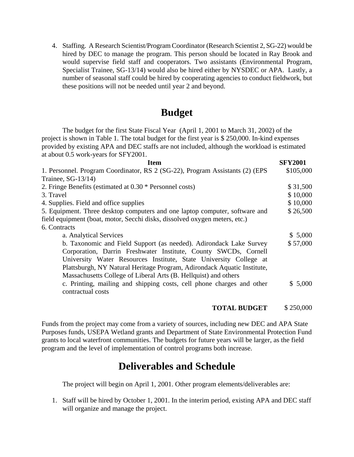4. Staffing. A Research Scientist/Program Coordinator (Research Scientist 2, SG-22) would be hired by DEC to manage the program. This person should be located in Ray Brook and would supervise field staff and cooperators. Two assistants (Environmental Program, Specialist Trainee, SG-13/14) would also be hired either by NYSDEC or APA. Lastly, a number of seasonal staff could be hired by cooperating agencies to conduct fieldwork, but these positions will not be needed until year 2 and beyond.

## **Budget**

The budget for the first State Fiscal Year (April 1, 2001 to March 31, 2002) of the project is shown in Table 1. The total budget for the first year is \$ 250,000. In-kind expenses provided by existing APA and DEC staffs are not included, although the workload is estimated at about 0.5 work-years for SFY2001.

| Item                                                                         | <b>SFY2001</b> |
|------------------------------------------------------------------------------|----------------|
| 1. Personnel. Program Coordinator, RS 2 (SG-22), Program Assistants (2) (EPS | \$105,000      |
| Trainee, $SG-13/14$ )                                                        |                |
| 2. Fringe Benefits (estimated at 0.30 * Personnel costs)                     | \$31,500       |
| 3. Travel                                                                    | \$10,000       |
| 4. Supplies. Field and office supplies                                       | \$10,000       |
| 5. Equipment. Three desktop computers and one laptop computer, software and  | \$26,500       |
| field equipment (boat, motor, Secchi disks, dissolved oxygen meters, etc.)   |                |
| 6. Contracts                                                                 |                |
| a. Analytical Services                                                       | \$5,000        |
| b. Taxonomic and Field Support (as needed). Adirondack Lake Survey           | \$57,000       |
| Corporation, Darrin Freshwater Institute, County SWCDs, Cornell              |                |
| University Water Resources Institute, State University College at            |                |
| Plattsburgh, NY Natural Heritage Program, Adirondack Aquatic Institute,      |                |
| Massachusetts College of Liberal Arts (B. Hellquist) and others              |                |
| c. Printing, mailing and shipping costs, cell phone charges and other        | \$5,000        |
| contractual costs                                                            |                |
|                                                                              |                |

#### **TOTAL BUDGET** \$ 250,000

Funds from the project may come from a variety of sources, including new DEC and APA State Purposes funds, USEPA Wetland grants and Department of State Environmental Protection Fund grants to local waterfront communities. The budgets for future years will be larger, as the field program and the level of implementation of control programs both increase.

## **Deliverables and Schedule**

The project will begin on April 1, 2001. Other program elements/deliverables are:

1. Staff will be hired by October 1, 2001. In the interim period, existing APA and DEC staff will organize and manage the project.